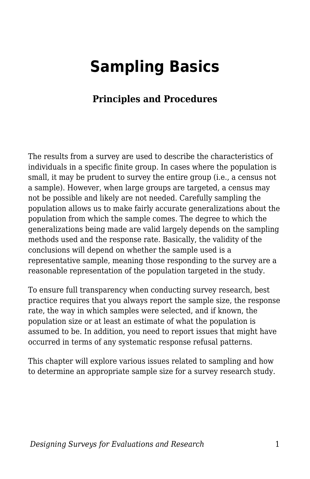# **Sampling Basics**

### **Principles and Procedures**

The results from a survey are used to describe the characteristics of individuals in a specific finite group. In cases where the population is small, it may be prudent to survey the entire group (i.e., a census not a sample). However, when large groups are targeted, a census may not be possible and likely are not needed. Carefully sampling the population allows us to make fairly accurate generalizations about the population from which the sample comes. The degree to which the generalizations being made are valid largely depends on the sampling methods used and the response rate. Basically, the validity of the conclusions will depend on whether the sample used is a representative sample, meaning those responding to the survey are a reasonable representation of the population targeted in the study.

To ensure full transparency when conducting survey research, best practice requires that you always report the sample size, the response rate, the way in which samples were selected, and if known, the population size or at least an estimate of what the population is assumed to be. In addition, you need to report issues that might have occurred in terms of any systematic response refusal patterns.

This chapter will explore various issues related to sampling and how to determine an appropriate sample size for a survey research study.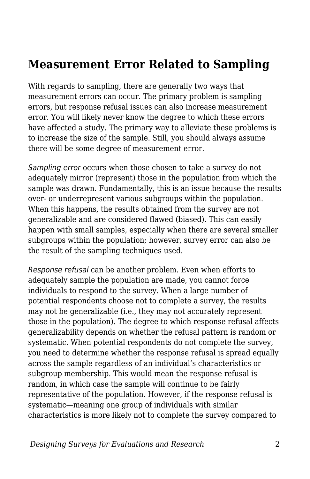### **Measurement Error Related to Sampling**

With regards to sampling, there are generally two ways that measurement errors can occur. The primary problem is sampling errors, but response refusal issues can also increase measurement error. You will likely never know the degree to which these errors have affected a study. The primary way to alleviate these problems is to increase the size of the sample. Still, you should always assume there will be some degree of measurement error.

Sampling error occurs when those chosen to take a survey do not adequately mirror (represent) those in the population from which the sample was drawn. Fundamentally, this is an issue because the results over- or underrepresent various subgroups within the population. When this happens, the results obtained from the survey are not generalizable and are considered flawed (biased). This can easily happen with small samples, especially when there are several smaller subgroups within the population; however, survey error can also be the result of the sampling techniques used.

Response refusal can be another problem. Even when efforts to adequately sample the population are made, you cannot force individuals to respond to the survey. When a large number of potential respondents choose not to complete a survey, the results may not be generalizable (i.e., they may not accurately represent those in the population). The degree to which response refusal affects generalizability depends on whether the refusal pattern is random or systematic. When potential respondents do not complete the survey, you need to determine whether the response refusal is spread equally across the sample regardless of an individual's characteristics or subgroup membership. This would mean the response refusal is random, in which case the sample will continue to be fairly representative of the population. However, if the response refusal is systematic—meaning one group of individuals with similar characteristics is more likely not to complete the survey compared to

*Designing Surveys for Evaluations and Research* 2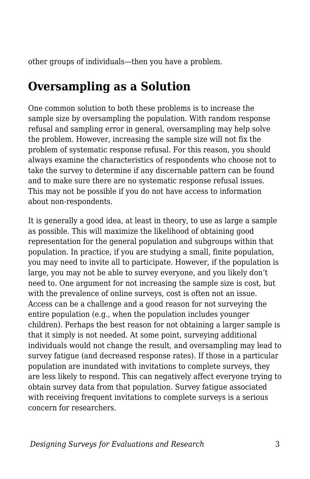other groups of individuals—then you have a problem.

### **Oversampling as a Solution**

One common solution to both these problems is to increase the sample size by oversampling the population. With random response refusal and sampling error in general, oversampling may help solve the problem. However, increasing the sample size will not fix the problem of systematic response refusal. For this reason, you should always examine the characteristics of respondents who choose not to take the survey to determine if any discernable pattern can be found and to make sure there are no systematic response refusal issues. This may not be possible if you do not have access to information about non-respondents.

It is generally a good idea, at least in theory, to use as large a sample as possible. This will maximize the likelihood of obtaining good representation for the general population and subgroups within that population. In practice, if you are studying a small, finite population, you may need to invite all to participate. However, if the population is large, you may not be able to survey everyone, and you likely don't need to. One argument for not increasing the sample size is cost, but with the prevalence of online surveys, cost is often not an issue. Access can be a challenge and a good reason for not surveying the entire population (e.g., when the population includes younger children). Perhaps the best reason for not obtaining a larger sample is that it simply is not needed. At some point, surveying additional individuals would not change the result, and oversampling may lead to survey fatigue (and decreased response rates). If those in a particular population are inundated with invitations to complete surveys, they are less likely to respond. This can negatively affect everyone trying to obtain survey data from that population. Survey fatigue associated with receiving frequent invitations to complete surveys is a serious concern for researchers.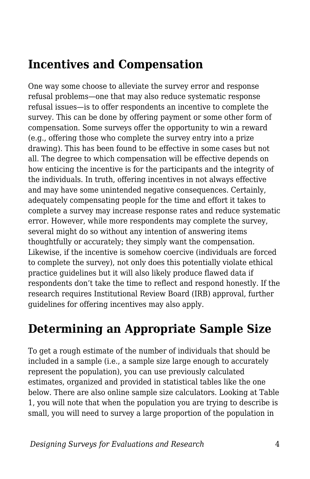### **Incentives and Compensation**

One way some choose to alleviate the survey error and response refusal problems—one that may also reduce systematic response refusal issues—is to offer respondents an incentive to complete the survey. This can be done by offering payment or some other form of compensation. Some surveys offer the opportunity to win a reward (e.g., offering those who complete the survey entry into a prize drawing). This has been found to be effective in some cases but not all. The degree to which compensation will be effective depends on how enticing the incentive is for the participants and the integrity of the individuals. In truth, offering incentives in not always effective and may have some unintended negative consequences. Certainly, adequately compensating people for the time and effort it takes to complete a survey may increase response rates and reduce systematic error. However, while more respondents may complete the survey, several might do so without any intention of answering items thoughtfully or accurately; they simply want the compensation. Likewise, if the incentive is somehow coercive (individuals are forced to complete the survey), not only does this potentially violate ethical practice guidelines but it will also likely produce flawed data if respondents don't take the time to reflect and respond honestly. If the research requires Institutional Review Board (IRB) approval, further guidelines for offering incentives may also apply.

# **Determining an Appropriate Sample Size**

To get a rough estimate of the number of individuals that should be included in a sample (i.e., a sample size large enough to accurately represent the population), you can use previously calculated estimates, organized and provided in statistical tables like the one below. There are also online sample size calculators. Looking at Table 1, you will note that when the population you are trying to describe is small, you will need to survey a large proportion of the population in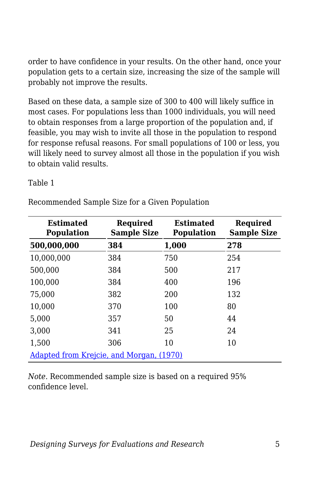order to have confidence in your results. On the other hand, once your population gets to a certain size, increasing the size of the sample will probably not improve the results.

Based on these data, a sample size of 300 to 400 will likely suffice in most cases. For populations less than 1000 individuals, you will need to obtain responses from a large proportion of the population and, if feasible, you may wish to invite all those in the population to respond for response refusal reasons. For small populations of 100 or less, you will likely need to survey almost all those in the population if you wish to obtain valid results.

Table 1

Recommended Sample Size for a Given Population

| <b>Estimated</b><br><b>Population</b>    | Required<br><b>Sample Size</b> | <b>Estimated</b><br><b>Population</b> | Required<br><b>Sample Size</b> |  |
|------------------------------------------|--------------------------------|---------------------------------------|--------------------------------|--|
| 500,000,000                              | 384                            | 1,000                                 | 278                            |  |
| 10,000,000                               | 384                            | 750                                   | 254                            |  |
| 500,000                                  | 384                            | 500                                   | 217                            |  |
| 100,000                                  | 384                            | 400                                   | 196                            |  |
| 75,000                                   | 382                            | 200                                   | 132                            |  |
| 10,000                                   | 370                            | 100                                   | 80                             |  |
| 5,000                                    | 357                            | 50                                    | 44                             |  |
| 3,000                                    | 341                            | 25                                    | 24                             |  |
| 1,500                                    | 306                            | 10                                    | 10                             |  |
| Adapted from Krejcie, and Morgan, (1970) |                                |                                       |                                |  |

*Note*. Recommended sample size is based on a required 95% confidence level.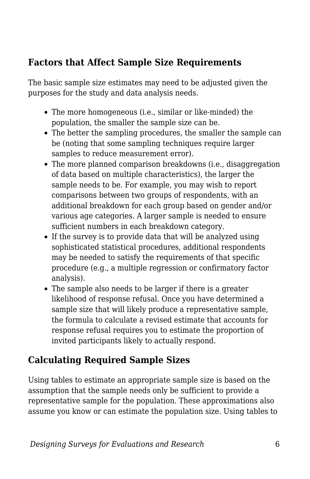### **Factors that Affect Sample Size Requirements**

The basic sample size estimates may need to be adjusted given the purposes for the study and data analysis needs.

- The more homogeneous (i.e., similar or like-minded) the population, the smaller the sample size can be.
- The better the sampling procedures, the smaller the sample can be (noting that some sampling techniques require larger samples to reduce measurement error).
- The more planned comparison breakdowns (i.e., disaggregation of data based on multiple characteristics), the larger the sample needs to be. For example, you may wish to report comparisons between two groups of respondents, with an additional breakdown for each group based on gender and/or various age categories. A larger sample is needed to ensure sufficient numbers in each breakdown category.
- If the survey is to provide data that will be analyzed using sophisticated statistical procedures, additional respondents may be needed to satisfy the requirements of that specific procedure (e.g., a multiple regression or confirmatory factor analysis).
- The sample also needs to be larger if there is a greater likelihood of response refusal. Once you have determined a sample size that will likely produce a representative sample, the formula to calculate a revised estimate that accounts for response refusal requires you to estimate the proportion of invited participants likely to actually respond.

### **Calculating Required Sample Sizes**

Using tables to estimate an appropriate sample size is based on the assumption that the sample needs only be sufficient to provide a representative sample for the population. These approximations also assume you know or can estimate the population size. Using tables to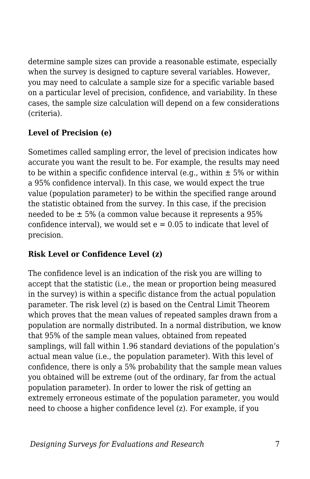determine sample sizes can provide a reasonable estimate, especially when the survey is designed to capture several variables. However, you may need to calculate a sample size for a specific variable based on a particular level of precision, confidence, and variability. In these cases, the sample size calculation will depend on a few considerations (criteria).

#### **Level of Precision (e)**

Sometimes called sampling error, the level of precision indicates how accurate you want the result to be. For example, the results may need to be within a specific confidence interval (e.g., within  $\pm$  5% or within a 95% confidence interval). In this case, we would expect the true value (population parameter) to be within the specified range around the statistic obtained from the survey. In this case, if the precision needed to be ± 5% (a common value because it represents a 95% confidence interval), we would set  $e = 0.05$  to indicate that level of precision.

#### **Risk Level or Confidence Level (z)**

The confidence level is an indication of the risk you are willing to accept that the statistic (i.e., the mean or proportion being measured in the survey) is within a specific distance from the actual population parameter. The risk level (z) is based on the Central Limit Theorem which proves that the mean values of repeated samples drawn from a population are normally distributed. In a normal distribution, we know that 95% of the sample mean values, obtained from repeated samplings, will fall within 1.96 standard deviations of the population's actual mean value (i.e., the population parameter). With this level of confidence, there is only a 5% probability that the sample mean values you obtained will be extreme (out of the ordinary, far from the actual population parameter). In order to lower the risk of getting an extremely erroneous estimate of the population parameter, you would need to choose a higher confidence level (z). For example, if you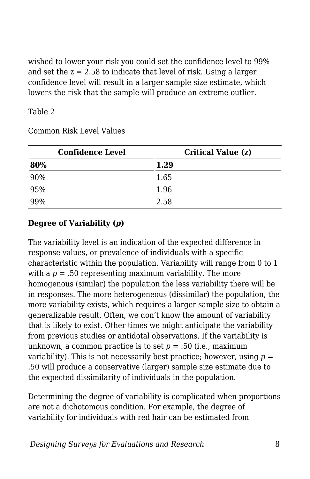wished to lower your risk you could set the confidence level to 99% and set the  $z = 2.58$  to indicate that level of risk. Using a larger confidence level will result in a larger sample size estimate, which lowers the risk that the sample will produce an extreme outlier.

#### Table 2

| <b>Confidence Level</b> | Critical Value (z) |  |
|-------------------------|--------------------|--|
| 80%                     | 1.29               |  |
| 90%                     | 1.65               |  |
| 95%                     | 1.96               |  |
| 99%                     | 2.58               |  |

Common Risk Level Values

#### **Degree of Variability (***p***)**

The variability level is an indication of the expected difference in response values, or prevalence of individuals with a specific characteristic within the population. Variability will range from 0 to 1 with a  $p = 0.50$  representing maximum variability. The more homogenous (similar) the population the less variability there will be in responses. The more heterogeneous (dissimilar) the population, the more variability exists, which requires a larger sample size to obtain a generalizable result. Often, we don't know the amount of variability that is likely to exist. Other times we might anticipate the variability from previous studies or antidotal observations. If the variability is unknown, a common practice is to set *p* = .50 (i.e., maximum variability). This is not necessarily best practice; however, using  $p =$ .50 will produce a conservative (larger) sample size estimate due to the expected dissimilarity of individuals in the population.

Determining the degree of variability is complicated when proportions are not a dichotomous condition. For example, the degree of variability for individuals with red hair can be estimated from

*Designing Surveys for Evaluations and Research* 8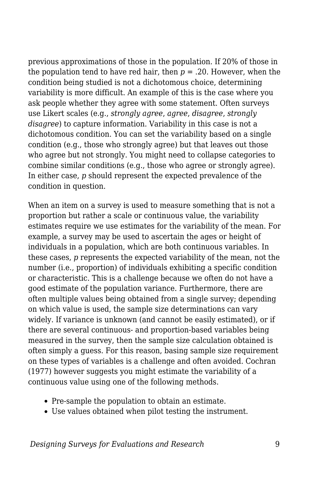previous approximations of those in the population. If 20% of those in the population tend to have red hair, then  $p = 0.20$ . However, when the condition being studied is not a dichotomous choice, determining variability is more difficult. An example of this is the case where you ask people whether they agree with some statement. Often surveys use Likert scales (e.g., *strongly agree*, *agree*, *disagree*, *strongly disagree*) to capture information. Variability in this case is not a dichotomous condition. You can set the variability based on a single condition (e.g., those who strongly agree) but that leaves out those who agree but not strongly. You might need to collapse categories to combine similar conditions (e.g., those who agree or strongly agree). In either case, *p* should represent the expected prevalence of the condition in question.

When an item on a survey is used to measure something that is not a proportion but rather a scale or continuous value, the variability estimates require we use estimates for the variability of the mean. For example, a survey may be used to ascertain the ages or height of individuals in a population, which are both continuous variables. In these cases, *p* represents the expected variability of the mean, not the number (i.e., proportion) of individuals exhibiting a specific condition or characteristic. This is a challenge because we often do not have a good estimate of the population variance. Furthermore, there are often multiple values being obtained from a single survey; depending on which value is used, the sample size determinations can vary widely. If variance is unknown (and cannot be easily estimated), or if there are several continuous- and proportion-based variables being measured in the survey, then the sample size calculation obtained is often simply a guess. For this reason, basing sample size requirement on these types of variables is a challenge and often avoided. Cochran (1977) however suggests you might estimate the variability of a continuous value using one of the following methods.

- Pre-sample the population to obtain an estimate.
- Use values obtained when pilot testing the instrument.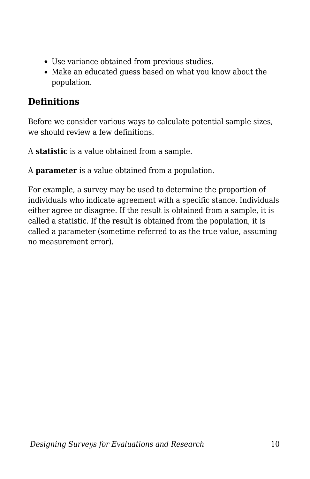- Use variance obtained from previous studies.
- Make an educated guess based on what you know about the population.

#### **Definitions**

Before we consider various ways to calculate potential sample sizes, we should review a few definitions.

A **statistic** is a value obtained from a sample.

A **parameter** is a value obtained from a population.

For example, a survey may be used to determine the proportion of individuals who indicate agreement with a specific stance. Individuals either agree or disagree. If the result is obtained from a sample, it is called a statistic. If the result is obtained from the population, it is called a parameter (sometime referred to as the true value, assuming no measurement error).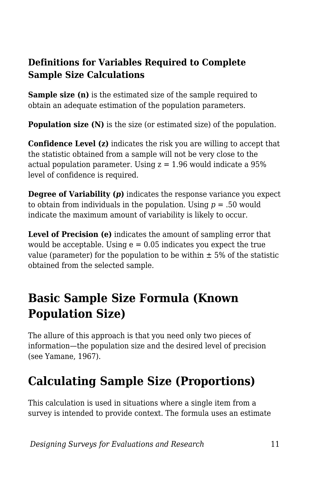#### **Definitions for Variables Required to Complete Sample Size Calculations**

**Sample size (n)** is the estimated size of the sample required to obtain an adequate estimation of the population parameters.

**Population size (N)** is the size (or estimated size) of the population.

**Confidence Level (z)** indicates the risk you are willing to accept that the statistic obtained from a sample will not be very close to the actual population parameter. Using  $z = 1.96$  would indicate a 95% level of confidence is required.

**Degree of Variability (***p***)** indicates the response variance you expect to obtain from individuals in the population. Using *p* = .50 would indicate the maximum amount of variability is likely to occur.

**Level of Precision (e)** indicates the amount of sampling error that would be acceptable. Using  $e = 0.05$  indicates you expect the true value (parameter) for the population to be within  $\pm$  5% of the statistic obtained from the selected sample.

# **Basic Sample Size Formula (Known Population Size)**

The allure of this approach is that you need only two pieces of information—the population size and the desired level of precision (see Yamane, 1967).

# **Calculating Sample Size (Proportions)**

This calculation is used in situations where a single item from a survey is intended to provide context. The formula uses an estimate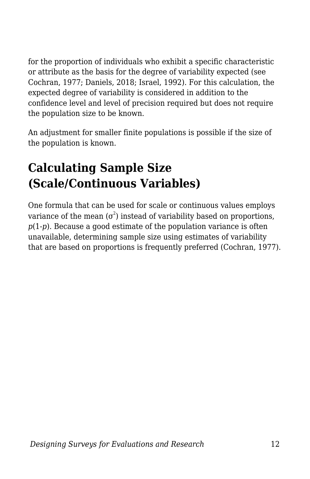for the proportion of individuals who exhibit a specific characteristic or attribute as the basis for the degree of variability expected (see Cochran, 1977; Daniels, 2018; Israel, 1992). For this calculation, the expected degree of variability is considered in addition to the confidence level and level of precision required but does not require the population size to be known.

An adjustment for smaller finite populations is possible if the size of the population is known.

# **Calculating Sample Size (Scale/Continuous Variables)**

One formula that can be used for scale or continuous values employs variance of the mean ( $\sigma^2$ ) instead of variability based on proportions, *p*(1-*p*). Because a good estimate of the population variance is often unavailable, determining sample size using estimates of variability that are based on proportions is frequently preferred (Cochran, 1977).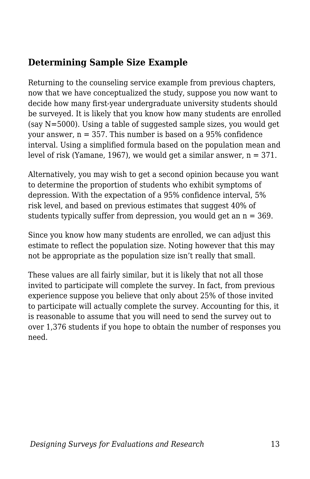### **Determining Sample Size Example**

Returning to the counseling service example from previous chapters, now that we have conceptualized the study, suppose you now want to decide how many first-year undergraduate university students should be surveyed. It is likely that you know how many students are enrolled (say N=5000). Using a table of suggested sample sizes, you would get your answer,  $n = 357$ . This number is based on a 95% confidence interval. Using a simplified formula based on the population mean and level of risk (Yamane, 1967), we would get a similar answer,  $n = 371$ .

Alternatively, you may wish to get a second opinion because you want to determine the proportion of students who exhibit symptoms of depression. With the expectation of a 95% confidence interval, 5% risk level, and based on previous estimates that suggest 40% of students typically suffer from depression, you would get an  $n = 369$ .

Since you know how many students are enrolled, we can adjust this estimate to reflect the population size. Noting however that this may not be appropriate as the population size isn't really that small.

These values are all fairly similar, but it is likely that not all those invited to participate will complete the survey. In fact, from previous experience suppose you believe that only about 25% of those invited to participate will actually complete the survey. Accounting for this, it is reasonable to assume that you will need to send the survey out to over 1,376 students if you hope to obtain the number of responses you need.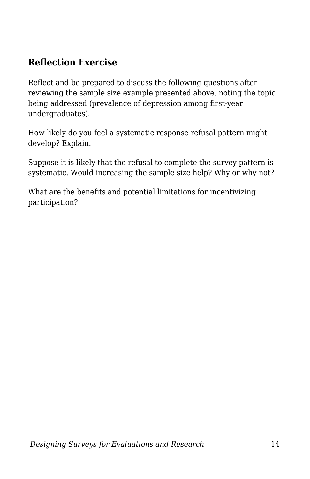#### **Reflection Exercise**

Reflect and be prepared to discuss the following questions after reviewing the sample size example presented above, noting the topic being addressed (prevalence of depression among first-year undergraduates).

How likely do you feel a systematic response refusal pattern might develop? Explain.

Suppose it is likely that the refusal to complete the survey pattern is systematic. Would increasing the sample size help? Why or why not?

What are the benefits and potential limitations for incentivizing participation?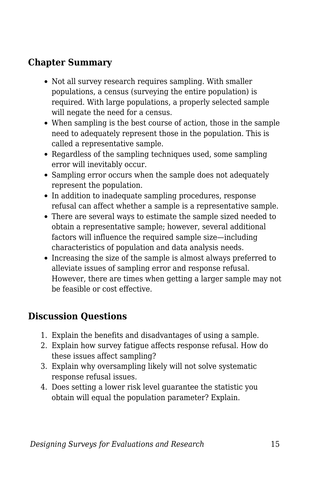#### **Chapter Summary**

- Not all survey research requires sampling. With smaller populations, a census (surveying the entire population) is required. With large populations, a properly selected sample will negate the need for a census.
- When sampling is the best course of action, those in the sample need to adequately represent those in the population. This is called a representative sample.
- Regardless of the sampling techniques used, some sampling error will inevitably occur.
- Sampling error occurs when the sample does not adequately represent the population.
- In addition to inadequate sampling procedures, response refusal can affect whether a sample is a representative sample.
- There are several ways to estimate the sample sized needed to obtain a representative sample; however, several additional factors will influence the required sample size—including characteristics of population and data analysis needs.
- Increasing the size of the sample is almost always preferred to alleviate issues of sampling error and response refusal. However, there are times when getting a larger sample may not be feasible or cost effective.

### **Discussion Questions**

- 1. Explain the benefits and disadvantages of using a sample.
- 2. Explain how survey fatigue affects response refusal. How do these issues affect sampling?
- 3. Explain why oversampling likely will not solve systematic response refusal issues.
- 4. Does setting a lower risk level guarantee the statistic you obtain will equal the population parameter? Explain.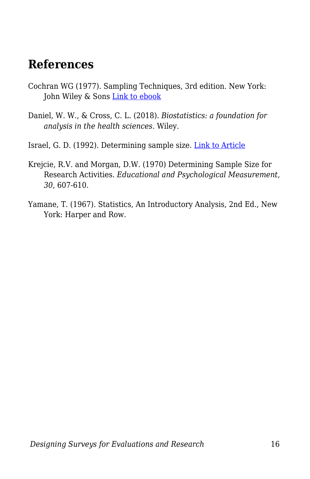### **References**

- Cochran WG (1977). Sampling Techniques, 3rd edition. New York: John Wiley & Sons [Link to ebook](https://archive.org/details/Cochran1977SamplingTechniques_201703/mode/2up)
- Daniel, W. W., & Cross, C. L. (2018). *Biostatistics: a foundation for analysis in the health sciences*. Wiley.
- Israel, G. D. (1992). Determining sample size. [Link to Article](https://www.gjimt.ac.in/wp-content/uploads/2017/10/2_Glenn-D.-Israel_Determining-Sample-Size.pdf)
- Krejcie, R.V. and Morgan, D.W. (1970) Determining Sample Size for Research Activities. *Educational and Psychological Measurement, 30*, 607-610.
- Yamane, T. (1967). Statistics, An Introductory Analysis, 2nd Ed., New York: Harper and Row.